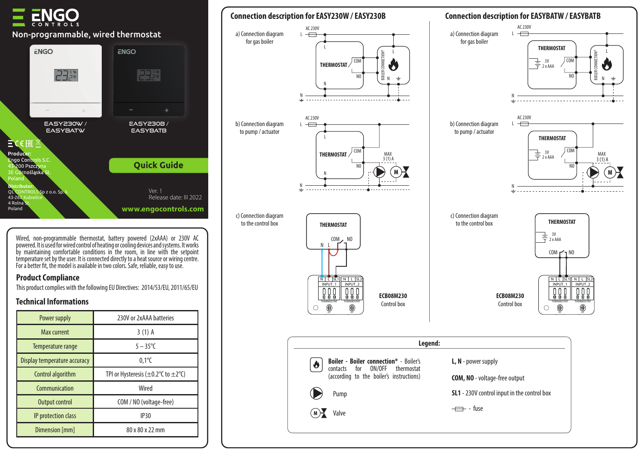# Non-programmable, wired thermostat



Wired, non-programmable thermostat, battery powered (2xAAA) or 230V AC powered. It is used for wired control of heating or cooling devices and systems. It works by maintaining comfortable conditions in the room, in line with the setpoint temperature set by the user. It is connected directly to a heat source or wiring centre. For a better fit, the model is available in two colors. Safe, reliable, easy to use.

### **Product Compliance**

This product complies with the following EU Directives: 2014/53/EU, 2011/65/EU

## **Technical Informations**

| Power supply                 | 230V or 2xAAA batteries                                           |
|------------------------------|-------------------------------------------------------------------|
| <b>Max current</b>           | $3(1)$ A                                                          |
| Temperature range            | $5 - 35^{\circ}C$                                                 |
| Display temperature accuracy | $0,1^{\circ}$ C                                                   |
| Control algorithm            | TPI or Hysteresis ( $\pm$ 0.2 $\degree$ C to $\pm$ 2 $\degree$ C) |
| Communication                | Wired                                                             |
| Output control               | COM / NO (voltage-free)                                           |
| IP protection class          | <b>IP30</b>                                                       |
| Dimension [mm]               | 80 x 80 x 22 mm                                                   |

# **Connection description for EASY230W / EASY230B Connection description for EASYBATW / EASYBATB**









 $L \leftarrow$ AC 230V

a) Connection diagram for gas boiler

Control box

**ECB08M230**



OUTPUT\_4 N SL4 N SL4

N L SL4

L

BOILER CONNECTION\*

CONNECTION\* o

> MAX  $3(1)$  A